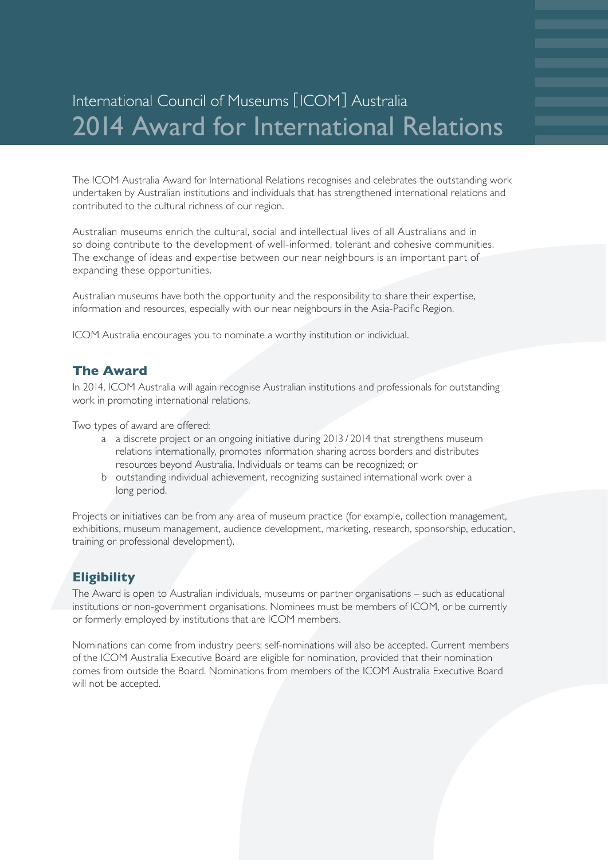# International Council of Museums [ICOM] Australia 2014 Award for International Relations

The ICOM Australia Award for International Relations recognises and celebrates the outstanding work undertaken by Australian institutions and individuals that has strengthened international relations and contributed to the cultural richness of our region.

Australian museums enrich the cultural, social and intellectual lives of all Australians and in so doing contribute to the development of well-informed, tolerant and cohesive communities. The exchange of ideas and expertise between our near neighbours is an important part of expanding these opportunities.

Australian museums have both the opportunity and the responsibility to share their expertise, information and resources, especially with our near neighbours in the Asia-Pacific Region.

ICOM Australia encourages you to nominate a worthy institution or individual.

#### **The Award**

In 2014, ICOM Australia will again recognise Australian institutions and professionals for outstanding work in promoting international relations.

Two types of award are offered:

- a a discrete project or an ongoing initiative during 2013 / 2014 that strengthens museum relations internationally, promotes information sharing across borders and distributes resources beyond Australia. Individuals or teams can be recognized; or
- b outstanding individual achievement, recognizing sustained international work over a long period.

Projects or initiatives can be from any area of museum practice (for example, collection management, exhibitions, museum management, audience development, marketing, research, sponsorship, education, training or professional development).

#### **Eligibility**

The Award is open to Australian individuals, museums or partner organisations – such as educational institutions or non-government organisations. Nominees must be members of ICOM, or be currently or formerly employed by institutions that are ICOM members.

Nominations can come from industry peers; self-nominations will also be accepted. Current members of the ICOM Australia Executive Board are eligible for nomination, provided that their nomination comes from outside the Board. Nominations from members of the ICOM Australia Executive Board will not be accepted.